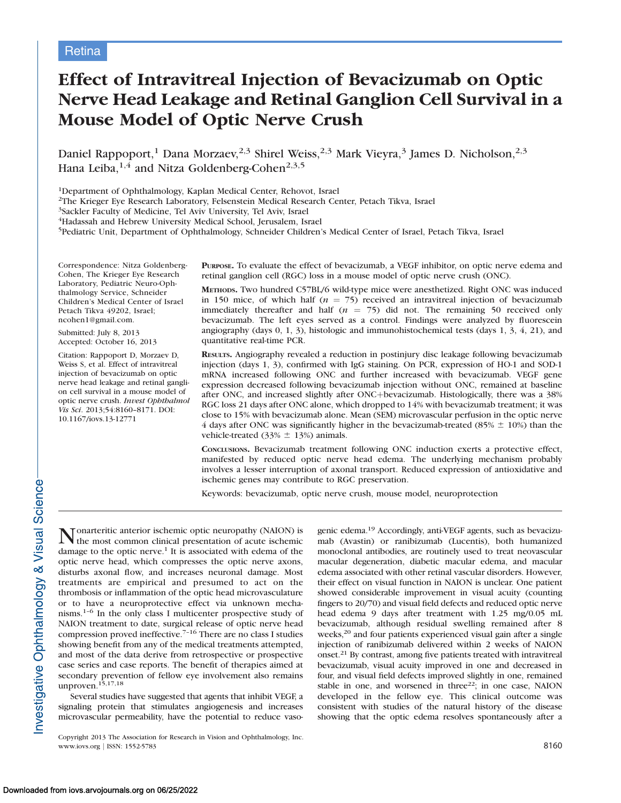# Effect of Intravitreal Injection of Bevacizumab on Optic Nerve Head Leakage and Retinal Ganglion Cell Survival in a Mouse Model of Optic Nerve Crush

Daniel Rappoport,<sup>1</sup> Dana Morzaev,<sup>2,3</sup> Shirel Weiss,<sup>2,3</sup> Mark Vieyra,<sup>3</sup> James D. Nicholson,<sup>2,3</sup> Hana Leiba, $^{1,4}$  and Nitza Goldenberg-Cohen $^{2,3,5}$ 

1Department of Ophthalmology, Kaplan Medical Center, Rehovot, Israel

2The Krieger Eye Research Laboratory, Felsenstein Medical Research Center, Petach Tikva, Israel

3Sackler Faculty of Medicine, Tel Aviv University, Tel Aviv, Israel

4Hadassah and Hebrew University Medical School, Jerusalem, Israel

5Pediatric Unit, Department of Ophthalmology, Schneider Children's Medical Center of Israel, Petach Tikva, Israel

Correspondence: Nitza Goldenberg-Cohen, The Krieger Eye Research Laboratory, Pediatric Neuro-Ophthalmology Service, Schneider Children's Medical Center of Israel Petach Tikva 49202, Israel; ncohen1@gmail.com.

Submitted: July 8, 2013 Accepted: October 16, 2013

Citation: Rappoport D, Morzaev D, Weiss S, et al. Effect of intravitreal injection of bevacizumab on optic nerve head leakage and retinal ganglion cell survival in a mouse model of optic nerve crush. Invest Ophthalmol Vis Sci. 2013;54:8160–8171. DOI: 10.1167/iovs.13-12771

PURPOSE. To evaluate the effect of bevacizumab, a VEGF inhibitor, on optic nerve edema and retinal ganglion cell (RGC) loss in a mouse model of optic nerve crush (ONC).

METHODS. Two hundred C57BL/6 wild-type mice were anesthetized. Right ONC was induced in 150 mice, of which half ( $n = 75$ ) received an intravitreal injection of bevacizumab immediately thereafter and half ( $n = 75$ ) did not. The remaining 50 received only bevacizumab. The left eyes served as a control. Findings were analyzed by fluorescein angiography (days 0, 1, 3), histologic and immunohistochemical tests (days 1, 3, 4, 21), and quantitative real-time PCR.

RESULTS. Angiography revealed a reduction in postinjury disc leakage following bevacizumab injection (days 1, 3), confirmed with IgG staining. On PCR, expression of HO-1 and SOD-1 mRNA increased following ONC and further increased with bevacizumab. VEGF gene expression decreased following bevacizumab injection without ONC, remained at baseline after ONC, and increased slightly after ONC+bevacizumab. Histologically, there was a 38% RGC loss 21 days after ONC alone, which dropped to 14% with bevacizumab treatment; it was close to 15% with bevacizumab alone. Mean (SEM) microvascular perfusion in the optic nerve 4 days after ONC was significantly higher in the bevacizumab-treated (85%  $\pm$  10%) than the vehicle-treated (33%  $\pm$  13%) animals.

CONCLUSIONS. Bevacizumab treatment following ONC induction exerts a protective effect, manifested by reduced optic nerve head edema. The underlying mechanism probably involves a lesser interruption of axonal transport. Reduced expression of antioxidative and ischemic genes may contribute to RGC preservation.

Keywords: bevacizumab, optic nerve crush, mouse model, neuroprotection

Nonarteritic anterior ischemic optic neuropathy (NAION) is the most common clinical presentation of acute ischemic damage to the optic nerve. $1$  It is associated with edema of the optic nerve head, which compresses the optic nerve axons, disturbs axonal flow, and increases neuronal damage. Most treatments are empirical and presumed to act on the thrombosis or inflammation of the optic head microvasculature or to have a neuroprotective effect via unknown mechanisms.1–6 In the only class I multicenter prospective study of NAION treatment to date, surgical release of optic nerve head compression proved ineffective.7–16 There are no class I studies showing benefit from any of the medical treatments attempted, and most of the data derive from retrospective or prospective case series and case reports. The benefit of therapies aimed at secondary prevention of fellow eye involvement also remains unproven.15,17,18 Several studies have suggested that agents that inhibit VEGF, a signaling protein that stimulates angiogenesis and increases

microvascular permeability, have the potential to reduce vaso-Copyright 2013 The Association for Research in Vision and Ophthalmology, Inc. genic edema.19 Accordingly, anti-VEGF agents, such as bevacizumab (Avastin) or ranibizumab (Lucentis), both humanized monoclonal antibodies, are routinely used to treat neovascular macular degeneration, diabetic macular edema, and macular edema associated with other retinal vascular disorders. However, their effect on visual function in NAION is unclear. One patient showed considerable improvement in visual acuity (counting fingers to 20/70) and visual field defects and reduced optic nerve head edema 9 days after treatment with 1.25 mg/0.05 mL bevacizumab, although residual swelling remained after 8 weeks,<sup>20</sup> and four patients experienced visual gain after a single injection of ranibizumab delivered within 2 weeks of NAION onset.21 By contrast, among five patients treated with intravitreal bevacizumab, visual acuity improved in one and decreased in four, and visual field defects improved slightly in one, remained stable in one, and worsened in three<sup>22</sup>; in one case, NAION developed in the fellow eye. This clinical outcome was consistent with studies of the natural history of the disease showing that the optic edema resolves spontaneously after a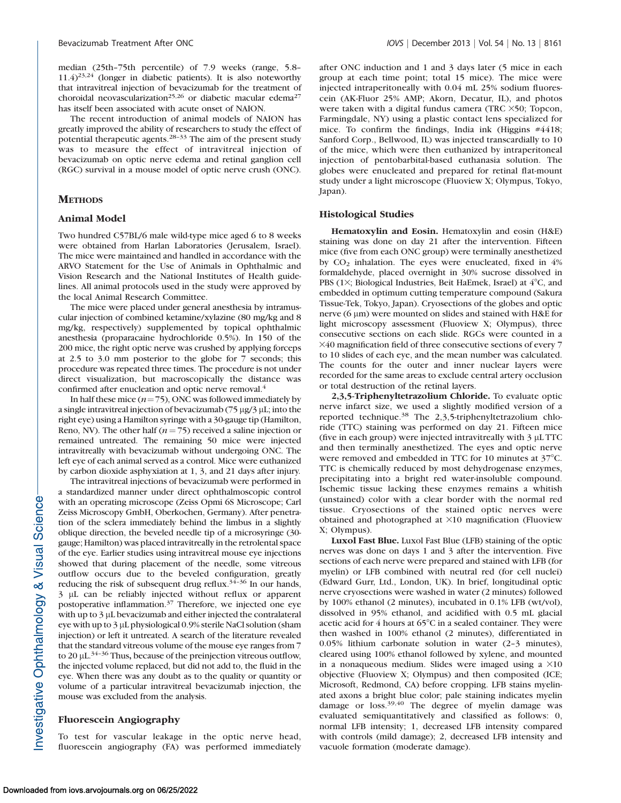median (25th–75th percentile) of 7.9 weeks (range, 5.8–  $11.4$ )<sup>23,24</sup> (longer in diabetic patients). It is also noteworthy that intravitreal injection of bevacizumab for the treatment of choroidal neovascularization<sup>25,26</sup> or diabetic macular edema<sup>27</sup> has itself been associated with acute onset of NAION.

The recent introduction of animal models of NAION has greatly improved the ability of researchers to study the effect of potential therapeutic agents.28–33 The aim of the present study was to measure the effect of intravitreal injection of bevacizumab on optic nerve edema and retinal ganglion cell (RGC) survival in a mouse model of optic nerve crush (ONC).

## **METHODS**

#### Animal Model

Two hundred C57BL/6 male wild-type mice aged 6 to 8 weeks were obtained from Harlan Laboratories (Jerusalem, Israel). The mice were maintained and handled in accordance with the ARVO Statement for the Use of Animals in Ophthalmic and Vision Research and the National Institutes of Health guidelines. All animal protocols used in the study were approved by the local Animal Research Committee.

The mice were placed under general anesthesia by intramuscular injection of combined ketamine/xylazine (80 mg/kg and 8 mg/kg, respectively) supplemented by topical ophthalmic anesthesia (proparacaine hydrochloride 0.5%). In 150 of the 200 mice, the right optic nerve was crushed by applying forceps at 2.5 to 3.0 mm posterior to the globe for 7 seconds; this procedure was repeated three times. The procedure is not under direct visualization, but macroscopically the distance was confirmed after enucleation and optic nerve removal.<sup>4</sup>

In half these mice  $(n=75)$ , ONC was followed immediately by a single intravitreal injection of bevacizumab  $(75 \mu g/3 \mu L)$ ; into the right eye) using a Hamilton syringe with a 30-gauge tip (Hamilton, Reno, NV). The other half ( $n = 75$ ) received a saline injection or remained untreated. The remaining 50 mice were injected intravitreally with bevacizumab without undergoing ONC. The left eye of each animal served as a control. Mice were euthanized by carbon dioxide asphyxiation at 1, 3, and 21 days after injury.

The intravitreal injections of bevacizumab were performed in a standardized manner under direct ophthalmoscopic control with an operating microscope (Zeiss Opmi 6S Microscope; Carl Zeiss Microscopy GmbH, Oberkochen, Germany). After penetration of the sclera immediately behind the limbus in a slightly oblique direction, the beveled needle tip of a microsyringe (30 gauge; Hamilton) was placed intravitreally in the retrolental space of the eye. Earlier studies using intravitreal mouse eye injections showed that during placement of the needle, some vitreous outflow occurs due to the beveled configuration, greatly reducing the risk of subsequent drug reflux. $3\overline{4}$ -36 In our hands, 3 lL can be reliably injected without reflux or apparent postoperative inflammation.37 Therefore, we injected one eye with up to 3 µL bevacizumab and either injected the contralateral eye with up to 3 µL physiological 0.9% sterile NaCl solution (sham injection) or left it untreated. A search of the literature revealed that the standard vitreous volume of the mouse eye ranges from 7 to 20  $\mu$ L.<sup>34–36</sup> Thus, because of the preinjection vitreous outflow, the injected volume replaced, but did not add to, the fluid in the eye. When there was any doubt as to the quality or quantity or volume of a particular intravitreal bevacizumab injection, the mouse was excluded from the analysis.

## Fluorescein Angiography

To test for vascular leakage in the optic nerve head, fluorescein angiography (FA) was performed immediately after ONC induction and 1 and 3 days later (5 mice in each group at each time point; total 15 mice). The mice were injected intraperitoneally with 0.04 mL 25% sodium fluorescein (AK-Fluor 25% AMP; Akorn, Decatur, IL), and photos were taken with a digital fundus camera (TRC  $\times$ 50; Topcon, Farmingdale, NY) using a plastic contact lens specialized for mice. To confirm the findings, India ink (Higgins #4418; Sanford Corp., Bellwood, IL) was injected transcardially to 10 of the mice, which were then euthanized by intraperitoneal injection of pentobarbital-based euthanasia solution. The globes were enucleated and prepared for retinal flat-mount study under a light microscope (Fluoview X; Olympus, Tokyo, Japan).

#### Histological Studies

Hematoxylin and Eosin. Hematoxylin and eosin (H&E) staining was done on day 21 after the intervention. Fifteen mice (five from each ONC group) were terminally anesthetized by  $CO<sub>2</sub>$  inhalation. The eyes were enucleated, fixed in  $4\%$ formaldehyde, placed overnight in 30% sucrose dissolved in PBS (1 $\times$ ; Biological Industries, Beit HaEmek, Israel) at  $4^{\circ}$ C, and embedded in optimum cutting temperature compound (Sakura Tissue-Tek, Tokyo, Japan). Cryosections of the globes and optic nerve  $(6 \mu m)$  were mounted on slides and stained with H&E for light microscopy assessment (Fluoview X; Olympus), three consecutive sections on each slide. RGCs were counted in a  $\times$ 40 magnification field of three consecutive sections of every 7 to 10 slides of each eye, and the mean number was calculated. The counts for the outer and inner nuclear layers were recorded for the same areas to exclude central artery occlusion or total destruction of the retinal layers.

2,3,5-Triphenyltetrazolium Chloride. To evaluate optic nerve infarct size, we used a slightly modified version of a reported technique.<sup>38</sup> The 2,3,5-triphenyltetrazolium chloride (TTC) staining was performed on day 21. Fifteen mice (five in each group) were injected intravitreally with  $3 \mu$ L TTC and then terminally anesthetized. The eyes and optic nerve were removed and embedded in TTC for 10 minutes at 37°C. TTC is chemically reduced by most dehydrogenase enzymes, precipitating into a bright red water-insoluble compound. Ischemic tissue lacking these enzymes remains a whitish (unstained) color with a clear border with the normal red tissue. Cryosections of the stained optic nerves were obtained and photographed at  $\times 10$  magnification (Fluoview X; Olympus).

Luxol Fast Blue. Luxol Fast Blue (LFB) staining of the optic nerves was done on days 1 and 3 after the intervention. Five sections of each nerve were prepared and stained with LFB (for myelin) or LFB combined with neutral red (for cell nuclei) (Edward Gurr, Ltd., London, UK). In brief, longitudinal optic nerve cryosections were washed in water (2 minutes) followed by 100% ethanol (2 minutes), incubated in 0.1% LFB (wt/vol), dissolved in 95% ethanol, and acidified with 0.5 mL glacial acetic acid for  $4$  hours at  $65^{\circ}$ C in a sealed container. They were then washed in 100% ethanol (2 minutes), differentiated in 0.05% lithium carbonate solution in water (2–3 minutes), cleared using 100% ethanol followed by xylene, and mounted in a nonaqueous medium. Slides were imaged using a  $\times 10$ objective (Fluoview X; Olympus) and then composited (ICE; Microsoft, Redmond, CA) before cropping. LFB stains myelinated axons a bright blue color; pale staining indicates myelin damage or loss.39,40 The degree of myelin damage was evaluated semiquantitatively and classified as follows: 0, normal LFB intensity; 1, decreased LFB intensity compared with controls (mild damage); 2, decreased LFB intensity and vacuole formation (moderate damage).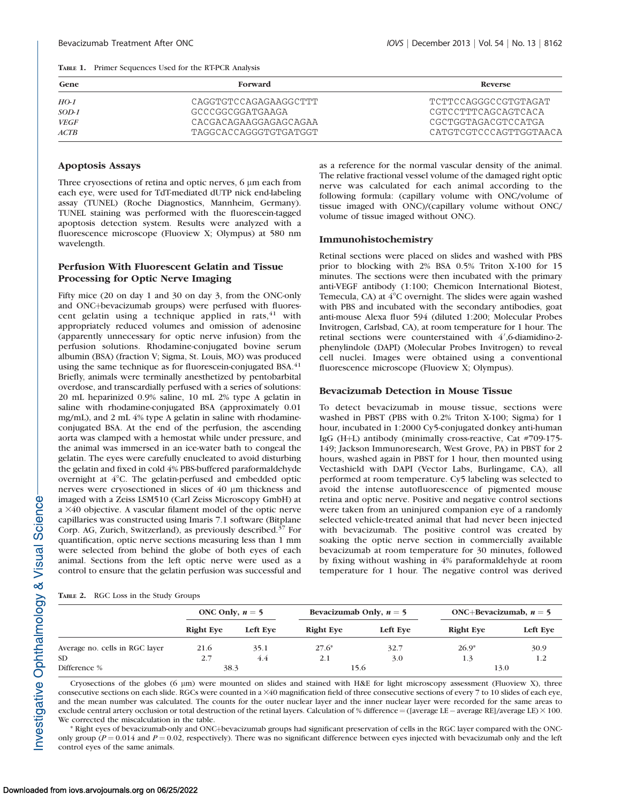|  | <b>TABLE 1.</b> Primer Sequences Used for the RT-PCR Analysis |  |  |
|--|---------------------------------------------------------------|--|--|
|--|---------------------------------------------------------------|--|--|

| Gene        | Forward               | <b>Reverse</b>         |
|-------------|-----------------------|------------------------|
| $HO-1$      | CAGGTGTCCAGAGAAGGCTTT | TCTTCCAGGGCCGTGTAGAT   |
| $SOD-1$     | GCCCGGCGGATGAAGA      | CGTCCTTTCAGCAGTCACA    |
| <b>VEGF</b> | CACGACAGAAGGAGAGCAGAA | CGCTGGTAGACGTCCATGA    |
| ACTB        | TAGGCACCAGGGTGTGATGGT | CATGTCGTCCCAGTTGGTAACA |

## Apoptosis Assays

Three cryosections of retina and optic nerves, 6  $\mu$ m each from each eye, were used for TdT-mediated dUTP nick end-labeling assay (TUNEL) (Roche Diagnostics, Mannheim, Germany). TUNEL staining was performed with the fluorescein-tagged apoptosis detection system. Results were analyzed with a fluorescence microscope (Fluoview X; Olympus) at 580 nm wavelength.

# Perfusion With Fluorescent Gelatin and Tissue Processing for Optic Nerve Imaging

Fifty mice (20 on day 1 and 30 on day 3, from the ONC-only and ONC+bevacizumab groups) were perfused with fluorescent gelatin using a technique applied in rats,  $41$  with appropriately reduced volumes and omission of adenosine (apparently unnecessary for optic nerve infusion) from the perfusion solutions. Rhodamine-conjugated bovine serum albumin (BSA) (fraction V; Sigma, St. Louis, MO) was produced using the same technique as for fluorescein-conjugated BSA. $41$ Briefly, animals were terminally anesthetized by pentobarbital overdose, and transcardially perfused with a series of solutions: 20 mL heparinized 0.9% saline, 10 mL 2% type A gelatin in saline with rhodamine-conjugated BSA (approximately 0.01 mg/mL), and 2 mL 4% type A gelatin in saline with rhodamineconjugated BSA. At the end of the perfusion, the ascending aorta was clamped with a hemostat while under pressure, and the animal was immersed in an ice-water bath to congeal the gelatin. The eyes were carefully enucleated to avoid disturbing the gelatin and fixed in cold 4% PBS-buffered paraformaldehyde overnight at  $4^{\circ}$ C. The gelatin-perfused and embedded optic nerves were cryosectioned in slices of 40 µm thickness and imaged with a Zeiss LSM510 (Carl Zeiss Microscopy GmbH) at a  $\times$ 40 objective. A vascular filament model of the optic nerve capillaries was constructed using Imaris 7.1 software (Bitplane Corp. AG, Zurich, Switzerland), as previously described.<sup>37</sup> For quantification, optic nerve sections measuring less than 1 mm were selected from behind the globe of both eyes of each animal. Sections from the left optic nerve were used as a control to ensure that the gelatin perfusion was successful and

TABLE 2. RGC Loss in the Study Groups

as a reference for the normal vascular density of the animal. The relative fractional vessel volume of the damaged right optic nerve was calculated for each animal according to the following formula: (capillary volume with ONC/volume of tissue imaged with ONC)/(capillary volume without ONC/ volume of tissue imaged without ONC).

#### Immunohistochemistry

Retinal sections were placed on slides and washed with PBS prior to blocking with 2% BSA 0.5% Triton X-100 for 15 minutes. The sections were then incubated with the primary anti-VEGF antibody (1:100; Chemicon International Biotest, Temecula, CA) at  $4^{\circ}$ C overnight. The slides were again washed with PBS and incubated with the secondary antibodies, goat anti-mouse Alexa fluor 594 (diluted 1:200; Molecular Probes Invitrogen, Carlsbad, CA), at room temperature for 1 hour. The retinal sections were counterstained with 4',6-diamidino-2phenylindole (DAPI) (Molecular Probes Invitrogen) to reveal cell nuclei. Images were obtained using a conventional fluorescence microscope (Fluoview X; Olympus).

## Bevacizumab Detection in Mouse Tissue

To detect bevacizumab in mouse tissue, sections were washed in PBST (PBS with 0.2% Triton X-100; Sigma) for 1 hour, incubated in 1:2000 Cy5-conjugated donkey anti-human IgG (H+L) antibody (minimally cross-reactive, Cat #709-175-149; Jackson Immunoresearch, West Grove, PA) in PBST for 2 hours, washed again in PBST for 1 hour, then mounted using Vectashield with DAPI (Vector Labs, Burlingame, CA), all performed at room temperature. Cy5 labeling was selected to avoid the intense autofluorescence of pigmented mouse retina and optic nerve. Positive and negative control sections were taken from an uninjured companion eye of a randomly selected vehicle-treated animal that had never been injected with bevacizumab. The positive control was created by soaking the optic nerve section in commercially available bevacizumab at room temperature for 30 minutes, followed by fixing without washing in 4% paraformaldehyde at room temperature for 1 hour. The negative control was derived

|                                | ONC Only, $n = 5$ |          | Bevacizumab Only, $n = 5$ |          | ONC+Bevacizumab, $n = 5$ |          |
|--------------------------------|-------------------|----------|---------------------------|----------|--------------------------|----------|
|                                | <b>Right Eve</b>  | Left Eve | <b>Right Eye</b>          | Left Eve | <b>Right Eye</b>         | Left Eve |
| Average no. cells in RGC layer | 21.6              | 35.1     | $27.6*$                   | 32.7     | $26.9*$                  | 30.9     |
| SD <sub>1</sub>                | 2.7               | 4.4      | 2.1                       | 3.0      | 1.3                      | 1.2      |
| Difference %                   | 38.3              |          | 15.6                      |          | 13.0                     |          |

Cryosections of the globes (6  $\mu$ m) were mounted on slides and stained with H&E for light microscopy assessment (Fluoview X), three consecutive sections on each slide. RGCs were counted in a ×40 magnification field of three consecutive sections of every 7 to 10 slides of each eye, and the mean number was calculated. The counts for the outer nuclear layer and the inner nuclear layer were recorded for the same areas to exclude central artery occlusion or total destruction of the retinal layers. Calculation of % difference  $=($  [average LE $-$ average RE]/average LE $)\times$  100. We corrected the miscalculation in the table.

\* Right eyes of bevacizumab-only and ONCþbevacizumab groups had significant preservation of cells in the RGC layer compared with the ONConly group ( $P = 0.014$  and  $P = 0.02$ , respectively). There was no significant difference between eyes injected with bevacizumab only and the left control eyes of the same animals.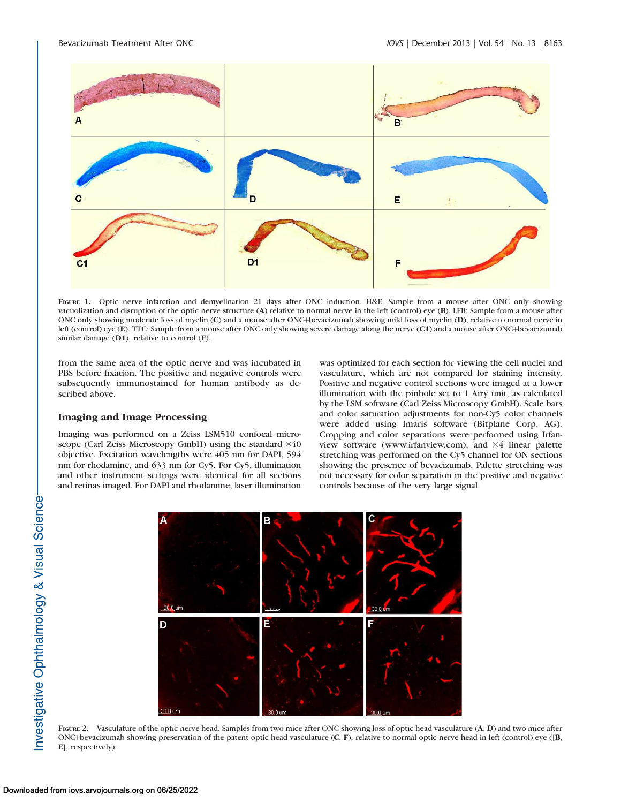

FIGURE 1. Optic nerve infarction and demyelination 21 days after ONC induction. H&E: Sample from a mouse after ONC only showing vacuolization and disruption of the optic nerve structure (A) relative to normal nerve in the left (control) eye (B). LFB: Sample from a mouse after ONC only showing moderate loss of myelin (C) and a mouse after ONC+bevacizumab showing mild loss of myelin (D), relative to normal nerve in left (control) eye (E). TTC: Sample from a mouse after ONC only showing severe damage along the nerve (C1) and a mouse after ONC+bevacizumab similar damage (D1), relative to control (F).

from the same area of the optic nerve and was incubated in PBS before fixation. The positive and negative controls were subsequently immunostained for human antibody as described above.

# Imaging and Image Processing

Imaging was performed on a Zeiss LSM510 confocal microscope (Carl Zeiss Microscopy GmbH) using the standard  $\times 40$ objective. Excitation wavelengths were 405 nm for DAPI, 594 nm for rhodamine, and 633 nm for Cy5. For Cy5, illumination and other instrument settings were identical for all sections and retinas imaged. For DAPI and rhodamine, laser illumination

was optimized for each section for viewing the cell nuclei and vasculature, which are not compared for staining intensity. Positive and negative control sections were imaged at a lower illumination with the pinhole set to 1 Airy unit, as calculated by the LSM software (Carl Zeiss Microscopy GmbH). Scale bars and color saturation adjustments for non-Cy5 color channels were added using Imaris software (Bitplane Corp. AG). Cropping and color separations were performed using Irfanview software (www.irfanview.com), and 34 linear palette stretching was performed on the Cy5 channel for ON sections showing the presence of bevacizumab. Palette stretching was not necessary for color separation in the positive and negative controls because of the very large signal.



FIGURE 2. Vasculature of the optic nerve head. Samples from two mice after ONC showing loss of optic head vasculature  $(A, D)$  and two mice after ONC+bevacizumab showing preservation of the patent optic head vasculature (C, F), relative to normal optic nerve head in left (control) eye ([B, E], respectively).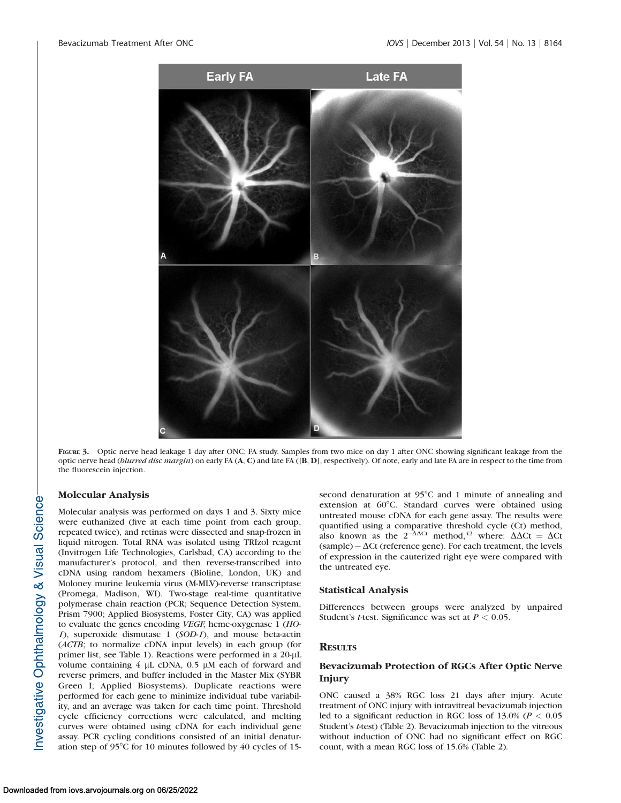

FIGURE 3. Optic nerve head leakage 1 day after ONC: FA study. Samples from two mice on day 1 after ONC showing significant leakage from the optic nerve head (blurred disc margin) on early FA (A, C) and late FA ([B, D], respectively). Of note, early and late FA are in respect to the time from the fluorescein injection.

# Molecular Analysis

Molecular analysis was performed on days 1 and 3. Sixty mice were euthanized (five at each time point from each group, repeated twice), and retinas were dissected and snap-frozen in liquid nitrogen. Total RNA was isolated using TRIzol reagent (Invitrogen Life Technologies, Carlsbad, CA) according to the manufacturer's protocol, and then reverse-transcribed into cDNA using random hexamers (Bioline, London, UK) and Moloney murine leukemia virus (M-MLV)-reverse transcriptase (Promega, Madison, WI). Two-stage real-time quantitative polymerase chain reaction (PCR; Sequence Detection System, Prism 7900; Applied Biosystems, Foster City, CA) was applied to evaluate the genes encoding VEGF, heme-oxygenase 1 (HO-1), superoxide dismutase 1 (SOD-1), and mouse beta-actin (ACTB; to normalize cDNA input levels) in each group (for primer list, see Table 1). Reactions were performed in a 20-µL volume containing  $4 \mu L$  cDNA,  $0.5 \mu M$  each of forward and reverse primers, and buffer included in the Master Mix (SYBR Green I; Applied Biosystems). Duplicate reactions were performed for each gene to minimize individual tube variability, and an average was taken for each time point. Threshold cycle efficiency corrections were calculated, and melting curves were obtained using cDNA for each individual gene assay. PCR cycling conditions consisted of an initial denaturation step of  $95^{\circ}$ C for 10 minutes followed by 40 cycles of 15second denaturation at 95°C and 1 minute of annealing and extension at  $60^{\circ}$ C. Standard curves were obtained using untreated mouse cDNA for each gene assay. The results were quantified using a comparative threshold cycle (Ct) method, also known as the  $2^{-\Delta\Delta Ct}$  method,<sup>42</sup> where:  $\Delta\Delta Ct = \Delta Ct$  $(sample) - \Delta Ct$  (reference gene). For each treatment, the levels of expression in the cauterized right eye were compared with the untreated eye.

#### Statistical Analysis

Differences between groups were analyzed by unpaired Student's *t*-test. Significance was set at  $P < 0.05$ .

# **RESULTS**

# Bevacizumab Protection of RGCs After Optic Nerve Injury

ONC caused a 38% RGC loss 21 days after injury. Acute treatment of ONC injury with intravitreal bevacizumab injection led to a significant reduction in RGC loss of  $13.0\%$  ( $P < 0.05$ ) Student's t-test) (Table 2). Bevacizumab injection to the vitreous without induction of ONC had no significant effect on RGC count, with a mean RGC loss of 15.6% (Table 2).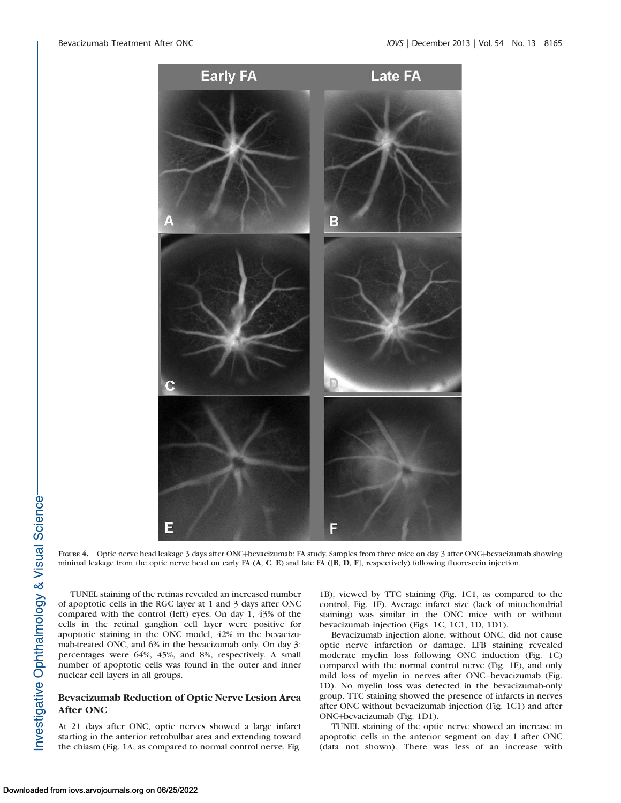

FIGURE 4. Optic nerve head leakage 3 days after ONC+bevacizumab: FA study. Samples from three mice on day 3 after ONC+bevacizumab showing minimal leakage from the optic nerve head on early FA (A, C, E) and late FA ([B, D, F], respectively) following fluorescein injection.

TUNEL staining of the retinas revealed an increased number of apoptotic cells in the RGC layer at 1 and 3 days after ONC compared with the control (left) eyes. On day 1, 43% of the cells in the retinal ganglion cell layer were positive for apoptotic staining in the ONC model, 42% in the bevacizumab-treated ONC, and 6% in the bevacizumab only. On day 3: percentages were 64%, 45%, and 8%, respectively. A small number of apoptotic cells was found in the outer and inner nuclear cell layers in all groups.

# Bevacizumab Reduction of Optic Nerve Lesion Area After ONC

At 21 days after ONC, optic nerves showed a large infarct starting in the anterior retrobulbar area and extending toward the chiasm (Fig. 1A, as compared to normal control nerve, Fig.

1B), viewed by TTC staining (Fig. 1C1, as compared to the control, Fig. 1F). Average infarct size (lack of mitochondrial staining) was similar in the ONC mice with or without bevacizumab injection (Figs. 1C, 1C1, 1D, 1D1).

Bevacizumab injection alone, without ONC, did not cause optic nerve infarction or damage. LFB staining revealed moderate myelin loss following ONC induction (Fig. 1C) compared with the normal control nerve (Fig. 1E), and only mild loss of myelin in nerves after ONC+bevacizumab (Fig. 1D). No myelin loss was detected in the bevacizumab-only group. TTC staining showed the presence of infarcts in nerves after ONC without bevacizumab injection (Fig. 1C1) and after ONC+bevacizumab (Fig. 1D1).

TUNEL staining of the optic nerve showed an increase in apoptotic cells in the anterior segment on day 1 after ONC (data not shown). There was less of an increase with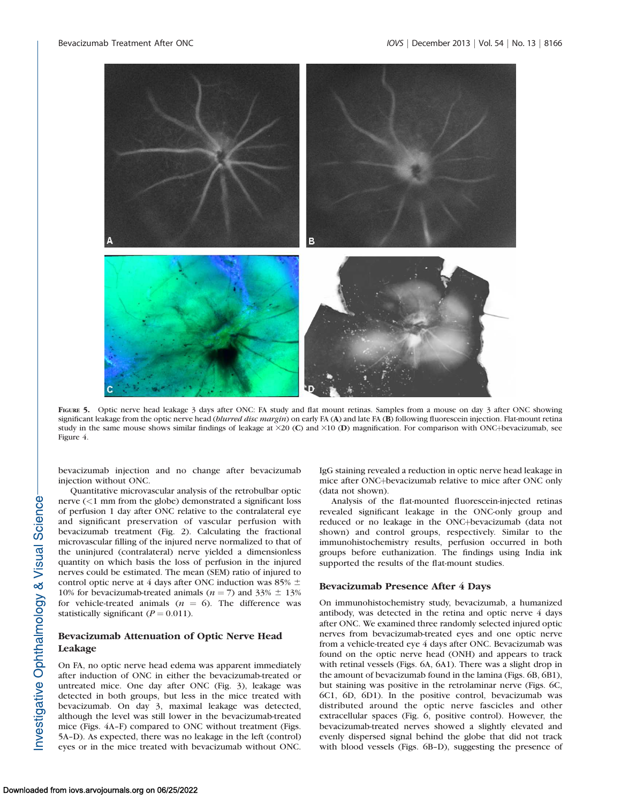

FIGURE 5. Optic nerve head leakage 3 days after ONC: FA study and flat mount retinas. Samples from a mouse on day 3 after ONC showing significant leakage from the optic nerve head (blurred disc margin) on early FA (A) and late FA (B) following fluorescein injection. Flat-mount retina study in the same mouse shows similar findings of leakage at  $\times$ 20 (C) and  $\times$ 10 (D) magnification. For comparison with ONC+bevacizumab, see Figure 4.

bevacizumab injection and no change after bevacizumab injection without ONC.

Quantitative microvascular analysis of the retrobulbar optic nerve (<1 mm from the globe) demonstrated a significant loss of perfusion 1 day after ONC relative to the contralateral eye and significant preservation of vascular perfusion with bevacizumab treatment (Fig. 2). Calculating the fractional microvascular filling of the injured nerve normalized to that of the uninjured (contralateral) nerve yielded a dimensionless quantity on which basis the loss of perfusion in the injured nerves could be estimated. The mean (SEM) ratio of injured to control optic nerve at 4 days after ONC induction was 85%  $\pm$ 10% for bevacizumab-treated animals ( $n = 7$ ) and 33%  $\pm$  13% for vehicle-treated animals ( $n = 6$ ). The difference was statistically significant ( $P = 0.011$ ).

# Bevacizumab Attenuation of Optic Nerve Head Leakage

On FA, no optic nerve head edema was apparent immediately after induction of ONC in either the bevacizumab-treated or untreated mice. One day after ONC (Fig. 3), leakage was detected in both groups, but less in the mice treated with bevacizumab. On day 3, maximal leakage was detected, although the level was still lower in the bevacizumab-treated mice (Figs. 4A–F) compared to ONC without treatment (Figs. 5A–D). As expected, there was no leakage in the left (control) eyes or in the mice treated with bevacizumab without ONC.

IgG staining revealed a reduction in optic nerve head leakage in mice after ONC+bevacizumab relative to mice after ONC only (data not shown).

Analysis of the flat-mounted fluorescein-injected retinas revealed significant leakage in the ONC-only group and reduced or no leakage in the ONC+bevacizumab (data not shown) and control groups, respectively. Similar to the immunohistochemistry results, perfusion occurred in both groups before euthanization. The findings using India ink supported the results of the flat-mount studies.

## Bevacizumab Presence After 4 Days

On immunohistochemistry study, bevacizumab, a humanized antibody, was detected in the retina and optic nerve 4 days after ONC. We examined three randomly selected injured optic nerves from bevacizumab-treated eyes and one optic nerve from a vehicle-treated eye 4 days after ONC. Bevacizumab was found on the optic nerve head (ONH) and appears to track with retinal vessels (Figs. 6A, 6A1). There was a slight drop in the amount of bevacizumab found in the lamina (Figs. 6B, 6B1), but staining was positive in the retrolaminar nerve (Figs. 6C, 6C1, 6D, 6D1). In the positive control, bevacizumab was distributed around the optic nerve fascicles and other extracellular spaces (Fig. 6, positive control). However, the bevacizumab-treated nerves showed a slightly elevated and evenly dispersed signal behind the globe that did not track with blood vessels (Figs. 6B–D), suggesting the presence of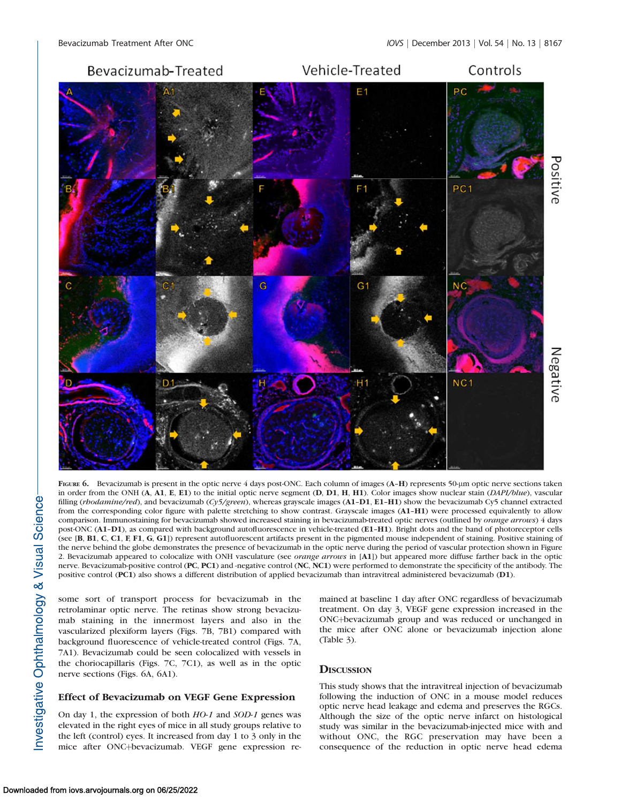

FIGURE 6. Bevacizumab is present in the optic nerve 4 days post-ONC. Each column of images (A–H) represents 50-lm optic nerve sections taken in order from the ONH (A, A1, E, E1) to the initial optic nerve segment (D, D1, H, H1). Color images show nuclear stain (DAPI/blue), vascular filling (rhodamine/red), and bevacizumab (Cy5/green), whereas grayscale images (A1-D1, E1-H1) show the bevacizumab Cy5 channel extracted from the corresponding color figure with palette stretching to show contrast. Grayscale images (A1–H1) were processed equivalently to allow comparison. Immunostaining for bevacizumab showed increased staining in bevacizumab-treated optic nerves (outlined by orange arrows) 4 days post-ONC (A1–D1), as compared with background autofluorescence in vehicle-treated (E1–H1). Bright dots and the band of photoreceptor cells (see [B, B1, C, C1, F, F1, G, G1]) represent autofluorescent artifacts present in the pigmented mouse independent of staining. Positive staining of the nerve behind the globe demonstrates the presence of bevacizumab in the optic nerve during the period of vascular protection shown in Figure 2. Bevacizumab appeared to colocalize with ONH vasculature (see orange arrows in [A1]) but appeared more diffuse farther back in the optic nerve. Bevacizumab-positive control (PC, PC1) and -negative control (NC, NC1) were performed to demonstrate the specificity of the antibody. The positive control (PC1) also shows a different distribution of applied bevacizumab than intravitreal administered bevacizumab (D1).

some sort of transport process for bevacizumab in the retrolaminar optic nerve. The retinas show strong bevacizumab staining in the innermost layers and also in the vascularized plexiform layers (Figs. 7B, 7B1) compared with background fluorescence of vehicle-treated control (Figs. 7A, 7A1). Bevacizumab could be seen colocalized with vessels in the choriocapillaris (Figs. 7C, 7C1), as well as in the optic nerve sections (Figs. 6A, 6A1).

## Effect of Bevacizumab on VEGF Gene Expression

On day 1, the expression of both HO-1 and SOD-1 genes was elevated in the right eyes of mice in all study groups relative to the left (control) eyes. It increased from day 1 to 3 only in the mice after ONC+bevacizumab. VEGF gene expression remained at baseline 1 day after ONC regardless of bevacizumab treatment. On day 3, VEGF gene expression increased in the ONC+bevacizumab group and was reduced or unchanged in the mice after ONC alone or bevacizumab injection alone (Table 3).

# **DISCUSSION**

This study shows that the intravitreal injection of bevacizumab following the induction of ONC in a mouse model reduces optic nerve head leakage and edema and preserves the RGCs. Although the size of the optic nerve infarct on histological study was similar in the bevacizumab-injected mice with and without ONC, the RGC preservation may have been a consequence of the reduction in optic nerve head edema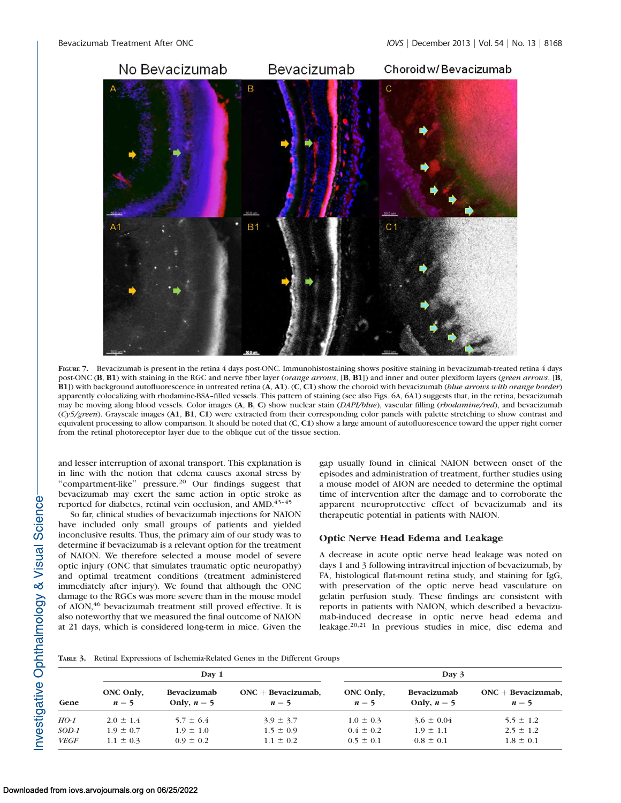

FIGURE 7. Bevacizumab is present in the retina 4 days post-ONC. Immunohistostaining shows positive staining in bevacizumab-treated retina 4 days post-ONC (B, B1) with staining in the RGC and nerve fiber layer (*orange arrows*, [B, B1]) and inner and outer plexiform layers (*green arrows*, [B, B1]) with background autofluorescence in untreated retina (A, A1). (C, C1) show the choroid with bevacizumab (blue arrows with orange border) apparently colocalizing with rhodamine-BSA–filled vessels. This pattern of staining (see also Figs. 6A, 6A1) suggests that, in the retina, bevacizumab may be moving along blood vessels. Color images (A, B, C) show nuclear stain (DAPI/blue), vascular filling (rhodamine/red), and bevacizumab (Cy5/green). Grayscale images (A1, B1, C1) were extracted from their corresponding color panels with palette stretching to show contrast and equivalent processing to allow comparison. It should be noted that (C, C1) show a large amount of autofluorescence toward the upper right corner from the retinal photoreceptor layer due to the oblique cut of the tissue section.

and lesser interruption of axonal transport. This explanation is in line with the notion that edema causes axonal stress by ''compartment-like'' pressure.<sup>20</sup> Our findings suggest that bevacizumab may exert the same action in optic stroke as reported for diabetes, retinal vein occlusion, and AMD.<sup>43-45</sup>

So far, clinical studies of bevacizumab injections for NAION have included only small groups of patients and yielded inconclusive results. Thus, the primary aim of our study was to determine if bevacizumab is a relevant option for the treatment of NAION. We therefore selected a mouse model of severe optic injury (ONC that simulates traumatic optic neuropathy) and optimal treatment conditions (treatment administered immediately after injury). We found that although the ONC damage to the RGCs was more severe than in the mouse model of AION,<sup>46</sup> bevacizumab treatment still proved effective. It is also noteworthy that we measured the final outcome of NAION at 21 days, which is considered long-term in mice. Given the

gap usually found in clinical NAION between onset of the episodes and administration of treatment, further studies using a mouse model of AION are needed to determine the optimal time of intervention after the damage and to corroborate the apparent neuroprotective effect of bevacizumab and its therapeutic potential in patients with NAION.

# Optic Nerve Head Edema and Leakage

A decrease in acute optic nerve head leakage was noted on days 1 and 3 following intravitreal injection of bevacizumab, by FA, histological flat-mount retina study, and staining for IgG, with preservation of the optic nerve head vasculature on gelatin perfusion study. These findings are consistent with reports in patients with NAION, which described a bevacizumab-induced decrease in optic nerve head edema and leakage.20,21 In previous studies in mice, disc edema and

|             | Day 1              |                              |                                | Day 3              |                              |                                |
|-------------|--------------------|------------------------------|--------------------------------|--------------------|------------------------------|--------------------------------|
| Gene        | ONC Only,<br>$n=5$ | Bevacizumab<br>Only, $n = 5$ | $ONC + Bevacizumab$ ,<br>$n=5$ | ONC Only,<br>$n=5$ | Bevacizumab<br>Only, $n = 5$ | $ONC + Bevacizumab$ ,<br>$n=5$ |
| HO-1        | $2.0 \pm 1.4$      | $5.7 \pm 6.4$                | $3.9 \pm 3.7$                  | $1.0 \pm 0.3$      | $3.6 \pm 0.04$               | $5.5 \pm 1.2$                  |
| $SOD-1$     | $1.9 \pm 0.7$      | $1.9 \pm 1.0$                | $1.5 \pm 0.9$                  | $0.4 \pm 0.2$      | $1.9 \pm 1.1$                | $2.5 \pm 1.2$                  |
| <b>VEGF</b> | $1.1 \pm 0.3$      | $0.9 \pm 0.2$                | $1.1 \pm 0.2$                  | $0.5 \pm 0.1$      | $0.8 \pm 0.1$                | $1.8 \pm 0.1$                  |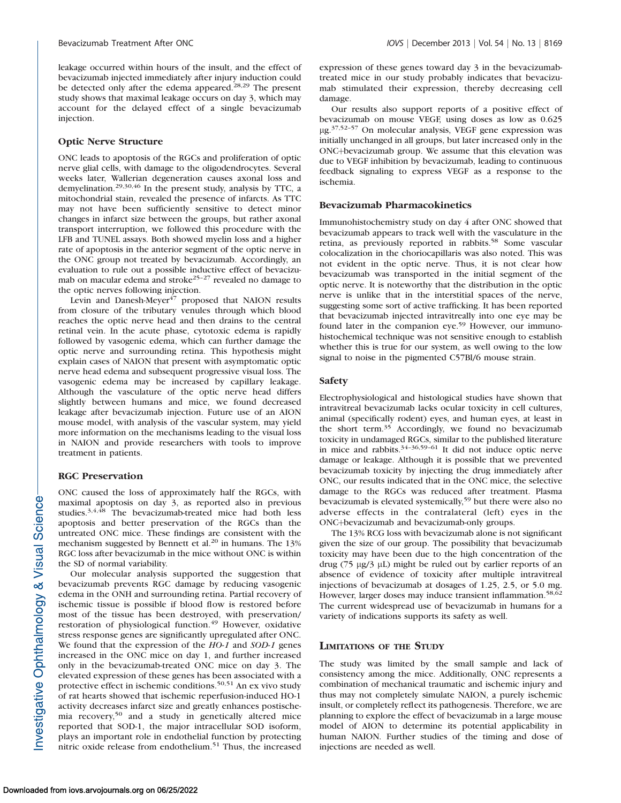leakage occurred within hours of the insult, and the effect of bevacizumab injected immediately after injury induction could be detected only after the edema appeared.<sup>28,29</sup> The present study shows that maximal leakage occurs on day 3, which may account for the delayed effect of a single bevacizumab injection.

#### Optic Nerve Structure

ONC leads to apoptosis of the RGCs and proliferation of optic nerve glial cells, with damage to the oligodendrocytes. Several weeks later, Wallerian degeneration causes axonal loss and demyelination.29,30,46 In the present study, analysis by TTC, a mitochondrial stain, revealed the presence of infarcts. As TTC may not have been sufficiently sensitive to detect minor changes in infarct size between the groups, but rather axonal transport interruption, we followed this procedure with the LFB and TUNEL assays. Both showed myelin loss and a higher rate of apoptosis in the anterior segment of the optic nerve in the ONC group not treated by bevacizumab. Accordingly, an evaluation to rule out a possible inductive effect of bevacizumab on macular edema and stroke<sup>25-27</sup> revealed no damage to the optic nerves following injection.

Levin and Danesh-Meyer $47$  proposed that NAION results from closure of the tributary venules through which blood reaches the optic nerve head and then drains to the central retinal vein. In the acute phase, cytotoxic edema is rapidly followed by vasogenic edema, which can further damage the optic nerve and surrounding retina. This hypothesis might explain cases of NAION that present with asymptomatic optic nerve head edema and subsequent progressive visual loss. The vasogenic edema may be increased by capillary leakage. Although the vasculature of the optic nerve head differs slightly between humans and mice, we found decreased leakage after bevacizumab injection. Future use of an AION mouse model, with analysis of the vascular system, may yield more information on the mechanisms leading to the visual loss in NAION and provide researchers with tools to improve treatment in patients.

## RGC Preservation

ONC caused the loss of approximately half the RGCs, with maximal apoptosis on day 3, as reported also in previous studies.<sup>3,4,48</sup> The bevacizumab-treated mice had both less apoptosis and better preservation of the RGCs than the untreated ONC mice. These findings are consistent with the mechanism suggested by Bennett et al.<sup>20</sup> in humans. The 13% RGC loss after bevacizumab in the mice without ONC is within the SD of normal variability.

Our molecular analysis supported the suggestion that bevacizumab prevents RGC damage by reducing vasogenic edema in the ONH and surrounding retina. Partial recovery of ischemic tissue is possible if blood flow is restored before most of the tissue has been destroyed, with preservation/ restoration of physiological function.<sup>49</sup> However, oxidative stress response genes are significantly upregulated after ONC. We found that the expression of the HO-1 and SOD-1 genes increased in the ONC mice on day 1, and further increased only in the bevacizumab-treated ONC mice on day 3. The elevated expression of these genes has been associated with a protective effect in ischemic conditions.50,51 An ex vivo study of rat hearts showed that ischemic reperfusion-induced HO-1 activity decreases infarct size and greatly enhances postischemia recovery,<sup>50</sup> and a study in genetically altered mice reported that SOD-1, the major intracellular SOD isoform, plays an important role in endothelial function by protecting nitric oxide release from endothelium.<sup>51</sup> Thus, the increased

expression of these genes toward day 3 in the bevacizumabtreated mice in our study probably indicates that bevacizumab stimulated their expression, thereby decreasing cell damage.

Our results also support reports of a positive effect of bevacizumab on mouse VEGF, using doses as low as 0.625 lg.37,52–57 On molecular analysis, VEGF gene expression was initially unchanged in all groups, but later increased only in the ONC+bevacizumab group. We assume that this elevation was due to VEGF inhibition by bevacizumab, leading to continuous feedback signaling to express VEGF as a response to the ischemia.

#### Bevacizumab Pharmacokinetics

Immunohistochemistry study on day 4 after ONC showed that bevacizumab appears to track well with the vasculature in the retina, as previously reported in rabbits.<sup>58</sup> Some vascular colocalization in the choriocapillaris was also noted. This was not evident in the optic nerve. Thus, it is not clear how bevacizumab was transported in the initial segment of the optic nerve. It is noteworthy that the distribution in the optic nerve is unlike that in the interstitial spaces of the nerve, suggesting some sort of active trafficking. It has been reported that bevacizumab injected intravitreally into one eye may be found later in the companion eye.<sup>59</sup> However, our immunohistochemical technique was not sensitive enough to establish whether this is true for our system, as well owing to the low signal to noise in the pigmented C57Bl/6 mouse strain.

#### Safety

Electrophysiological and histological studies have shown that intravitreal bevacizumab lacks ocular toxicity in cell cultures, animal (specifically rodent) eyes, and human eyes, at least in the short term.<sup>35</sup> Accordingly, we found no bevacizumab toxicity in undamaged RGCs, similar to the published literature in mice and rabbits. $34-36,59-61$  It did not induce optic nerve damage or leakage. Although it is possible that we prevented bevacizumab toxicity by injecting the drug immediately after ONC, our results indicated that in the ONC mice, the selective damage to the RGCs was reduced after treatment. Plasma bevacizumab is elevated systemically,<sup>59</sup> but there were also no adverse effects in the contralateral (left) eyes in the ONC+bevacizumab and bevacizumab-only groups.

The 13% RCG loss with bevacizumab alone is not significant given the size of our group. The possibility that bevacizumab toxicity may have been due to the high concentration of the drug  $(75 \mu g/3 \mu L)$  might be ruled out by earlier reports of an absence of evidence of toxicity after multiple intravitreal injections of bevacizumab at dosages of 1.25, 2.5, or 5.0 mg. However, larger doses may induce transient inflammation.<sup>58,62</sup> The current widespread use of bevacizumab in humans for a variety of indications supports its safety as well.

#### LIMITATIONS OF THE STUDY

The study was limited by the small sample and lack of consistency among the mice. Additionally, ONC represents a combination of mechanical traumatic and ischemic injury and thus may not completely simulate NAION, a purely ischemic insult, or completely reflect its pathogenesis. Therefore, we are planning to explore the effect of bevacizumab in a large mouse model of AION to determine its potential applicability in human NAION. Further studies of the timing and dose of injections are needed as well.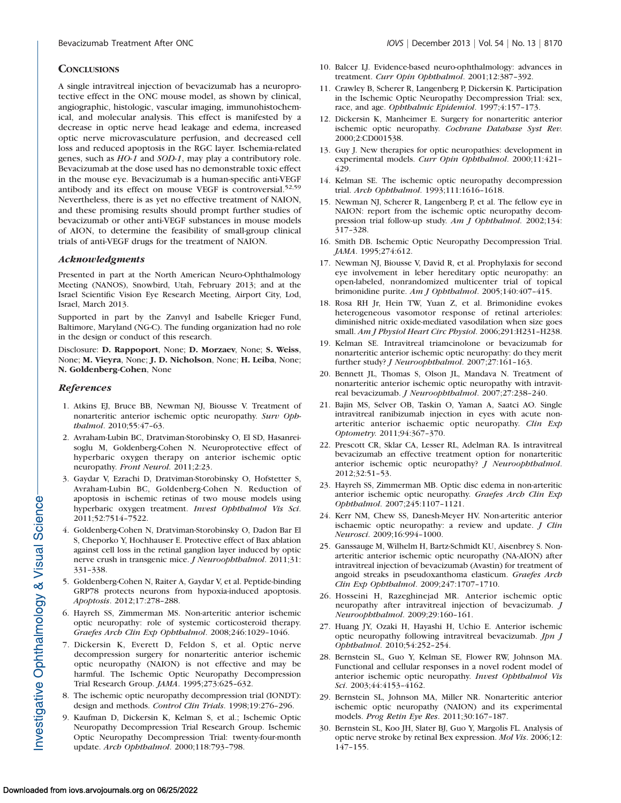# **CONCLUSIONS**

A single intravitreal injection of bevacizumab has a neuroprotective effect in the ONC mouse model, as shown by clinical, angiographic, histologic, vascular imaging, immunohistochemical, and molecular analysis. This effect is manifested by a decrease in optic nerve head leakage and edema, increased optic nerve microvasculature perfusion, and decreased cell loss and reduced apoptosis in the RGC layer. Ischemia-related genes, such as HO-1 and SOD-1, may play a contributory role. Bevacizumab at the dose used has no demonstrable toxic effect in the mouse eye. Bevacizumab is a human-specific anti-VEGF antibody and its effect on mouse VEGF is controversial.<sup>52,59</sup> Nevertheless, there is as yet no effective treatment of NAION, and these promising results should prompt further studies of bevacizumab or other anti-VEGF substances in mouse models of AION, to determine the feasibility of small-group clinical trials of anti-VEGF drugs for the treatment of NAION.

## Acknowledgments

Presented in part at the North American Neuro-Ophthalmology Meeting (NANOS), Snowbird, Utah, February 2013; and at the Israel Scientific Vision Eye Research Meeting, Airport City, Lod, Israel, March 2013.

Supported in part by the Zanvyl and Isabelle Krieger Fund, Baltimore, Maryland (NG-C). The funding organization had no role in the design or conduct of this research.

Disclosure: D. Rappoport, None; D. Morzaev, None; S. Weiss, None; M. Vieyra, None; J. D. Nicholson, None; H. Leiba, None; N. Goldenberg-Cohen, None

## **References**

- 1. Atkins EJ, Bruce BB, Newman NJ, Biousse V. Treatment of nonarteritic anterior ischemic optic neuropathy. Surv Ophthalmol. 2010;55:47–63.
- 2. Avraham-Lubin BC, Dratviman-Storobinsky O, El SD, Hasanreisoglu M, Goldenberg-Cohen N. Neuroprotective effect of hyperbaric oxygen therapy on anterior ischemic optic neuropathy. Front Neurol. 2011;2:23.
- 3. Gaydar V, Ezrachi D, Dratviman-Storobinsky O, Hofstetter S, Avraham-Lubin BC, Goldenberg-Cohen N. Reduction of apoptosis in ischemic retinas of two mouse models using hyperbaric oxygen treatment. Invest Ophthalmol Vis Sci. 2011;52:7514–7522.
- 4. Goldenberg-Cohen N, Dratviman-Storobinsky O, Dadon Bar El S, Cheporko Y, Hochhauser E. Protective effect of Bax ablation against cell loss in the retinal ganglion layer induced by optic nerve crush in transgenic mice. J Neuroophthalmol. 2011;31: 331–338.
- 5. Goldenberg-Cohen N, Raiter A, Gaydar V, et al. Peptide-binding GRP78 protects neurons from hypoxia-induced apoptosis. Apoptosis. 2012;17:278–288.
- 6. Hayreh SS, Zimmerman MS. Non-arteritic anterior ischemic optic neuropathy: role of systemic corticosteroid therapy. Graefes Arch Clin Exp Ophthalmol. 2008;246:1029–1046.
- 7. Dickersin K, Everett D, Feldon S, et al. Optic nerve decompression surgery for nonarteritic anterior ischemic optic neuropathy (NAION) is not effective and may be harmful. The Ischemic Optic Neuropathy Decompression Trial Research Group. JAMA. 1995;273:625–632.
- The ischemic optic neuropathy decompression trial (IONDT): design and methods. Control Clin Trials. 1998;19:276–296.
- 9. Kaufman D, Dickersin K, Kelman S, et al.; Ischemic Optic Neuropathy Decompression Trial Research Group. Ischemic Optic Neuropathy Decompression Trial: twenty-four-month update. Arch Ophthalmol. 2000;118:793–798.
- 10. Balcer LJ. Evidence-based neuro-ophthalmology: advances in treatment. Curr Opin Ophthalmol. 2001;12:387–392.
- 11. Crawley B, Scherer R, Langenberg P, Dickersin K. Participation in the Ischemic Optic Neuropathy Decompression Trial: sex, race, and age. Ophthalmic Epidemiol. 1997;4:157-173.
- 12. Dickersin K, Manheimer E. Surgery for nonarteritic anterior ischemic optic neuropathy. Cochrane Database Syst Rev. 2000;2:CD001538.
- 13. Guy J. New therapies for optic neuropathies: development in experimental models. Curr Opin Ophthalmol. 2000;11:421– 429.
- 14. Kelman SE. The ischemic optic neuropathy decompression trial. Arch Ophthalmol. 1993;111:1616–1618.
- 15. Newman NJ, Scherer R, Langenberg P, et al. The fellow eye in NAION: report from the ischemic optic neuropathy decompression trial follow-up study. Am J Ophthalmol. 2002;134: 317–328.
- 16. Smith DB. Ischemic Optic Neuropathy Decompression Trial. JAMA. 1995;274:612.
- 17. Newman NJ, Biousse V, David R, et al. Prophylaxis for second eye involvement in leber hereditary optic neuropathy: an open-labeled, nonrandomized multicenter trial of topical brimonidine purite. Am J Ophthalmol. 2005;140:407–415.
- 18. Rosa RH Jr, Hein TW, Yuan Z, et al. Brimonidine evokes heterogeneous vasomotor response of retinal arterioles: diminished nitric oxide-mediated vasodilation when size goes small. Am J Physiol Heart Circ Physiol. 2006;291:H231–H238.
- 19. Kelman SE. Intravitreal triamcinolone or bevacizumab for nonarteritic anterior ischemic optic neuropathy: do they merit further study? J Neuroophthalmol. 2007;27:161–163.
- 20. Bennett JL, Thomas S, Olson JL, Mandava N. Treatment of nonarteritic anterior ischemic optic neuropathy with intravitreal bevacizumab. J Neuroophthalmol. 2007;27:238–240.
- 21. Bajin MS, Selver OB, Taskin O, Yaman A, Saatci AO. Single intravitreal ranibizumab injection in eyes with acute nonarteritic anterior ischaemic optic neuropathy. Clin Exp Optometry. 2011;94:367–370.
- 22. Prescott CR, Sklar CA, Lesser RL, Adelman RA. Is intravitreal bevacizumab an effective treatment option for nonarteritic anterior ischemic optic neuropathy? J Neuroophthalmol. 2012;32:51–53.
- 23. Hayreh SS, Zimmerman MB. Optic disc edema in non-arteritic anterior ischemic optic neuropathy. Graefes Arch Clin Exp Ophthalmol. 2007;245:1107–1121.
- 24. Kerr NM, Chew SS, Danesh-Meyer HV. Non-arteritic anterior ischaemic optic neuropathy: a review and update. *J Clin* Neurosci. 2009;16:994–1000.
- 25. Ganssauge M, Wilhelm H, Bartz-Schmidt KU, Aisenbrey S. Nonarteritic anterior ischemic optic neuropathy (NA-AION) after intravitreal injection of bevacizumab (Avastin) for treatment of angoid streaks in pseudoxanthoma elasticum. Graefes Arch Clin Exp Ophthalmol. 2009;247:1707–1710.
- 26. Hosseini H, Razeghinejad MR. Anterior ischemic optic neuropathy after intravitreal injection of bevacizumab. J Neuroophthalmol. 2009;29:160–161.
- 27. Huang JY, Ozaki H, Hayashi H, Uchio E. Anterior ischemic optic neuropathy following intravitreal bevacizumab. Jpn J Ophthalmol. 2010;54:252–254.
- 28. Bernstein SL, Guo Y, Kelman SE, Flower RW, Johnson MA. Functional and cellular responses in a novel rodent model of anterior ischemic optic neuropathy. Invest Ophthalmol Vis Sci. 2003;44:4153–4162.
- 29. Bernstein SL, Johnson MA, Miller NR. Nonarteritic anterior ischemic optic neuropathy (NAION) and its experimental models. Prog Retin Eye Res. 2011;30:167–187.
- 30. Bernstein SL, Koo JH, Slater BJ, Guo Y, Margolis FL. Analysis of optic nerve stroke by retinal Bex expression. Mol Vis. 2006;12: 147–155.